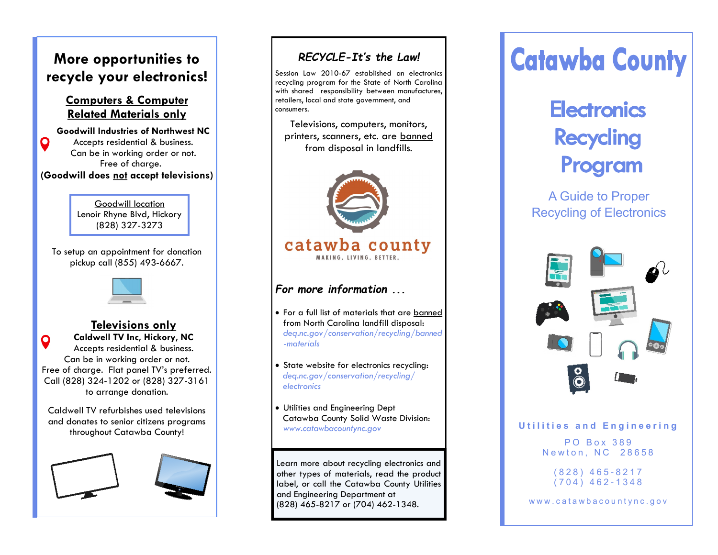# **More opportunities to recycle your electronics!**

#### **Computers & Computer Related Materials only**

**Goodwill Industries of Northwest NC**  Q Accepts residential & business. Can be in working order or not. Free of charge. **(Goodwill does not accept televisions)**

> Goodwill location Lenoir Rhyne Blvd, Hickory (828) 327-3273

To setup an appointment for donation pickup call (855) 493-6667.



# **Televisions only**

**Caldwell TV Inc, Hickory, NC** O Accepts residential & business. Can be in working order or not. Free of charge. Flat panel TV's preferred. Call (828) 324-1202 or (828) 327-3161 to arrange donation.

Caldwell TV refurbishes used televisions and donates to senior citizens programs throughout Catawba County!





## *RECYCLE-It's the Law!*

Session Law 2010-67 established an electronics recycling program for the State of North Carolina with shared responsibility between manufactures, retailers, local and state government, and consumers.

Televisions, computers, monitors, printers, scanners, etc. are banned from disposal in landfills.



# catawba county

## *For more information ...*

- For a full list of materials that are banned from North Carolina landfill disposal: *deq.nc.gov/conservation/recycling/banned -materials*
- State website for electronics recycling: *deq.nc.gov/conservation/recycling/ electronics*
- Utilities and Engineering Dept Catawba County Solid Waste Division: *www.catawbacountync.gov*

Learn more about recycling electronics and other types of materials, read the product label, or call the Catawba County Utilities and Engineering Department at (828) 465-8217 or (704) 462-1348.

# **Catawba County**

# **Electronics Recycling** Program

A Guide to Proper Recycling of Electronics



#### **U t i l i t i e s a n d E n g i n e e r i n g**

PO Box 389 Newton, NC 28658

> ( 8 2 8 ) 4 6 5 - 8217  $(704)$  462-1348

www.catawbacountync.gov